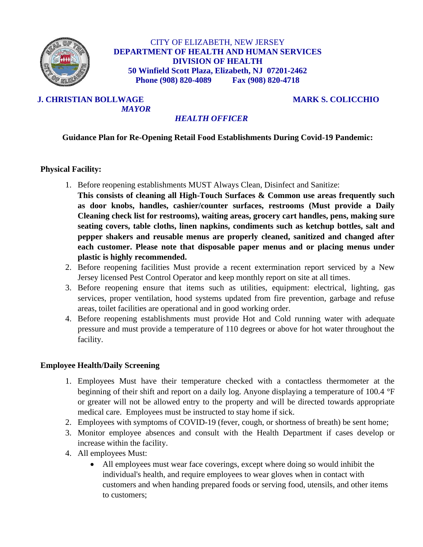

CITY OF ELIZABETH, NEW JERSEY **DEPARTMENT OF HEALTH AND HUMAN SERVICES DIVISION OF HEALTH 50 Winfield Scott Plaza, Elizabeth, NJ 07201-2462 Phone (908) 820-4089 Fax (908) 820-4718**

### **J. CHRISTIAN BOLLWAGE MARK S. COLICCHIO** *MAYOR*

# *HEALTH OFFICER*

# **Guidance Plan for Re-Opening Retail Food Establishments During Covid-19 Pandemic:**

# **Physical Facility:**

- 1. Before reopening establishments MUST Always Clean, Disinfect and Sanitize:
- **This consists of cleaning all High-Touch Surfaces & Common use areas frequently such as door knobs, handles, cashier/counter surfaces, restrooms (Must provide a Daily Cleaning check list for restrooms), waiting areas, grocery cart handles, pens, making sure seating covers, table cloths, linen napkins, condiments such as ketchup bottles, salt and pepper shakers and reusable menus are properly cleaned, sanitized and changed after each customer. Please note that disposable paper menus and or placing menus under plastic is highly recommended.**
- 2. Before reopening facilities Must provide a recent extermination report serviced by a New Jersey licensed Pest Control Operator and keep monthly report on site at all times.
- 3. Before reopening ensure that items such as utilities, equipment: electrical, lighting, gas services, proper ventilation, hood systems updated from fire prevention, garbage and refuse areas, toilet facilities are operational and in good working order.
- 4. Before reopening establishments must provide Hot and Cold running water with adequate pressure and must provide a temperature of 110 degrees or above for hot water throughout the facility.

# **Employee Health/Daily Screening**

- 1. Employees Must have their temperature checked with a contactless thermometer at the beginning of their shift and report on a daily log. Anyone displaying a temperature of 100.4 °F or greater will not be allowed entry to the property and will be directed towards appropriate medical care. Employees must be instructed to stay home if sick.
- 2. Employees with symptoms of COVID-19 (fever, cough, or shortness of breath) be sent home;
- 3. Monitor employee absences and consult with the Health Department if cases develop or increase within the facility.
- 4. All employees Must:
	- All employees must wear face coverings, except where doing so would inhibit the individual's health, and require employees to wear gloves when in contact with customers and when handing prepared foods or serving food, utensils, and other items to customers;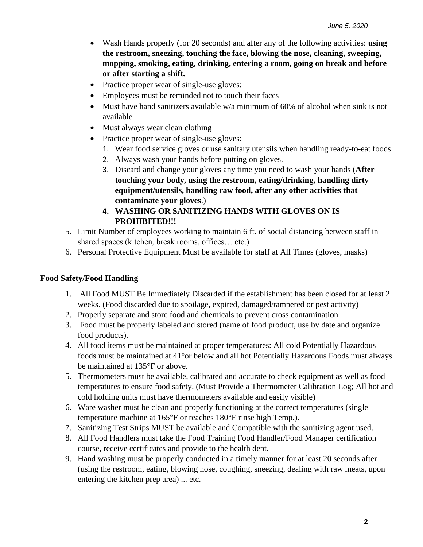- Wash Hands properly (for 20 seconds) and after any of the following activities: **using the restroom, sneezing, touching the face, blowing the nose, cleaning, sweeping, mopping, smoking, eating, drinking, entering a room, going on break and before or after starting a shift.**
- Practice proper wear of single-use gloves:
- Employees must be reminded not to touch their faces
- Must have hand sanitizers available w/a minimum of 60% of alcohol when sink is not available
- Must always wear clean clothing
- Practice proper wear of single-use gloves:
	- 1. Wear food service gloves or use sanitary utensils when handling ready-to-eat foods.
	- 2. Always wash your hands before putting on gloves.
	- 3. Discard and change your gloves any time you need to wash your hands (**After touching your body, using the restroom, eating/drinking, handling dirty equipment/utensils, handling raw food, after any other activities that contaminate your gloves**.)
	- **4. WASHING OR SANITIZING HANDS WITH GLOVES ON IS PROHIBITED!!!**
- 5. Limit Number of employees working to maintain 6 ft. of social distancing between staff in shared spaces (kitchen, break rooms, offices… etc.)
- 6. Personal Protective Equipment Must be available for staff at All Times (gloves, masks)

#### **Food Safety/Food Handling**

- 1. All Food MUST Be Immediately Discarded if the establishment has been closed for at least 2 weeks. (Food discarded due to spoilage, expired, damaged/tampered or pest activity)
- 2. Properly separate and store food and chemicals to prevent cross contamination.
- 3. Food must be properly labeled and stored (name of food product, use by date and organize food products).
- 4. All food items must be maintained at proper temperatures: All cold Potentially Hazardous foods must be maintained at 41°or below and all hot Potentially Hazardous Foods must always be maintained at 135°F or above.
- 5. Thermometers must be available, calibrated and accurate to check equipment as well as food temperatures to ensure food safety. (Must Provide a Thermometer Calibration Log; All hot and cold holding units must have thermometers available and easily visible)
- 6. Ware washer must be clean and properly functioning at the correct temperatures (single temperature machine at 165°F or reaches 180°F rinse high Temp.).
- 7. Sanitizing Test Strips MUST be available and Compatible with the sanitizing agent used.
- 8. All Food Handlers must take the Food Training Food Handler/Food Manager certification course, receive certificates and provide to the health dept.
- 9. Hand washing must be properly conducted in a timely manner for at least 20 seconds after (using the restroom, eating, blowing nose, coughing, sneezing, dealing with raw meats, upon entering the kitchen prep area) ... etc.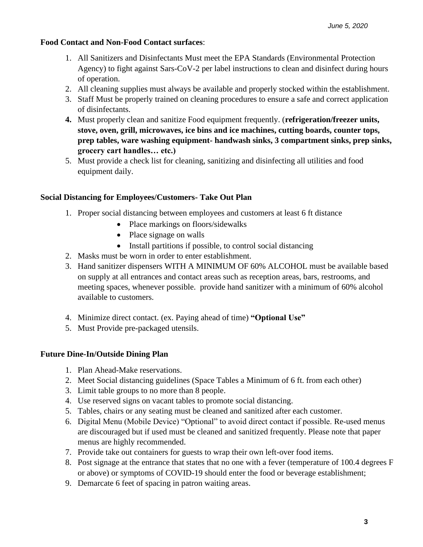### **Food Contact and Non-Food Contact surfaces**:

- 1. All Sanitizers and Disinfectants Must meet the EPA Standards (Environmental Protection Agency) to fight against Sars-CoV-2 per label instructions to clean and disinfect during hours of operation.
- 2. All cleaning supplies must always be available and properly stocked within the establishment.
- 3. Staff Must be properly trained on cleaning procedures to ensure a safe and correct application of disinfectants.
- **4.** Must properly clean and sanitize Food equipment frequently. (**refrigeration/freezer units, stove, oven, grill, microwaves, ice bins and ice machines, cutting boards, counter tops, prep tables, ware washing equipment- handwash sinks, 3 compartment sinks, prep sinks, grocery cart handles… etc.)**
- 5. Must provide a check list for cleaning, sanitizing and disinfecting all utilities and food equipment daily.

### **Social Distancing for Employees/Customers- Take Out Plan**

- 1. Proper social distancing between employees and customers at least 6 ft distance
	- Place markings on floors/sidewalks
	- Place signage on walls
	- Install partitions if possible, to control social distancing
- 2. Masks must be worn in order to enter establishment.
- 3. Hand sanitizer dispensers WITH A MINIMUM OF 60% ALCOHOL must be available based on supply at all entrances and contact areas such as reception areas, bars, restrooms, and meeting spaces, whenever possible. provide hand sanitizer with a minimum of 60% alcohol available to customers.
- 4. Minimize direct contact. (ex. Paying ahead of time) **"Optional Use"**
- 5. Must Provide pre-packaged utensils.

# **Future Dine-In/Outside Dining Plan**

- 1. Plan Ahead-Make reservations.
- 2. Meet Social distancing guidelines (Space Tables a Minimum of 6 ft. from each other)
- 3. Limit table groups to no more than 8 people.
- 4. Use reserved signs on vacant tables to promote social distancing.
- 5. Tables, chairs or any seating must be cleaned and sanitized after each customer.
- 6. Digital Menu (Mobile Device) "Optional" to avoid direct contact if possible. Re-used menus are discouraged but if used must be cleaned and sanitized frequently. Please note that paper menus are highly recommended.
- 7. Provide take out containers for guests to wrap their own left-over food items.
- 8. Post signage at the entrance that states that no one with a fever (temperature of 100.4 degrees F or above) or symptoms of COVID-19 should enter the food or beverage establishment;
- 9. Demarcate 6 feet of spacing in patron waiting areas.